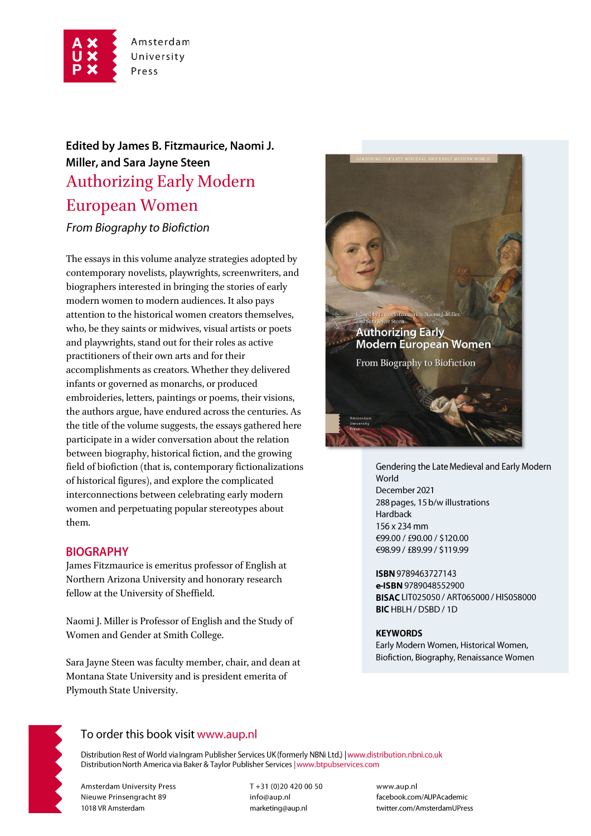

# Edited by James B. Fitzmaurice, Naomi J. Miller, and Sara Jayne Steen Authorizing Early Modern European Women

From Biography to Biofiction

The essays in this volume analyze strategies adopted by contemporary novelists, playwrights, screenwriters, and biographers interested in bringing the stories of early modern women to modern audiences. It also pays attention to the historical women creators themselves, who, be they saints or midwives, visual artists or poets and playwrights, stand out for their roles as active practitioners of their own arts and for their accomplishments as creators. Whether they delivered infants or governed as monarchs, or produced embroideries, letters, paintings or poems, their visions, the authors argue, have endured across the centuries. As the title of the volume suggests, the essays gathered here participate in a wider conversation about the relation between biography, historical fiction, and the growing field of biofiction (that is, contemporary fictionalizations of historical figures), and explore the complicated interconnections between celebrating early modern women and perpetuating popular stereotypes about them.

## **BIOGRAPHY**

James Fitzmaurice is emeritus professor of English at Northern Arizona University and honorary research fellow at the University of Sheffield.

Naomi J. Miller is Professor of English and the Study of Women and Gender at Smith College.

Sara Jayne Steen was faculty member, chair, and dean at Montana State University and is president emerita of Plymouth State University.



Gendering the Late Medieval and Early Modern World December 2021 288 pages, 15 b/w illustrations Hardback 156 x 234 mm €99.00 / £90.00 / \$120.00 €98.99 / £89.99 / \$119.99

ISBN 9789463727143 e-ISBN 9789048552900 BISAC LIT025050 / ART065000 / HIS058000 BIC HBLH / DSBD / 1D

#### **KEYWORDS**

Early Modern Women, Historical Women, Biofiction, Biography, Renaissance Women



## To order this book visit www.aup.nl

Distribution Rest of World via Ingram Publisher Services UK (formerly NBNi Ltd.) | www.distribution.nbni.co.uk Distribution North America via Baker & Taylor Publisher Services | www.btpubservices.com

**Amsterdam University Press** Nieuwe Prinsengracht 89 1018 VR Amsterdam

T+31 (0)20 420 00 50 info@aup.nl marketing@aup.nl

www.aup.nl facebook.com/AUPAcademic twitter.com/AmsterdamUPress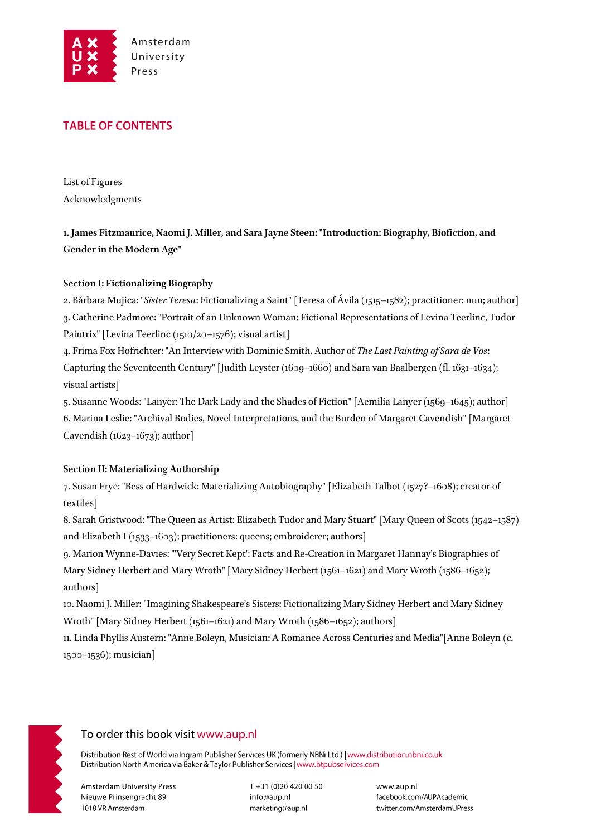

## **TABLE OF CONTENTS**

List of Figures Acknowledgments

**1. James Fitzmaurice, Naomi J. Miller, and Sara Jayne Steen: "Introduction: Biography, Biofiction, and Gender in the Modern Age"**

### **Section I: Fictionalizing Biography**

2. Bárbara Mujica: "*Sister Teresa*: Fictionalizing a Saint" [Teresa of Ávila (1515–1582); practitioner: nun; author] 3. Catherine Padmore: "Portrait of an Unknown Woman: Fictional Representations of Levina Teerlinc, Tudor Paintrix" [Levina Teerlinc (1510/20-1576); visual artist]

4. Frima Fox Hofrichter: "An Interview with Dominic Smith, Author of *The Last Painting of Sara de Vos*: Capturing the Seventeenth Century" [Judith Leyster (1609–1660) and Sara van Baalbergen (fl. 1631–1634); visual artists]

5. Susanne Woods: "Lanyer: The Dark Lady and the Shades of Fiction" [Aemilia Lanyer (1569–1645); author] 6. Marina Leslie: "Archival Bodies, Novel Interpretations, and the Burden of Margaret Cavendish" [Margaret Cavendish  $(1623-1673)$ ; author

#### **Section II: Materializing Authorship**

7. Susan Frye: "Bess of Hardwick: Materializing Autobiography" [Elizabeth Talbot (1527?–1608); creator of textiles]

8. Sarah Gristwood: "The Queen as Artist: Elizabeth Tudor and Mary Stuart" [Mary Queen of Scots (1542–1587) and Elizabeth I (1533–1603); practitioners: queens; embroiderer; authors]

9. Marion Wynne-Davies: "'Very Secret Kept': Facts and Re-Creation in Margaret Hannay's Biographies of Mary Sidney Herbert and Mary Wroth" [Mary Sidney Herbert (1561–1621) and Mary Wroth (1586–1652); authors]

10. Naomi J. Miller: "Imagining Shakespeare's Sisters: Fictionalizing Mary Sidney Herbert and Mary Sidney Wroth" [Mary Sidney Herbert (1561–1621) and Mary Wroth (1586–1652); authors]

11. Linda Phyllis Austern: "Anne Boleyn, Musician: A Romance Across Centuries and Media"[Anne Boleyn (c. 1500–1536); musician]



## To order this book visit www.aup.nl

Distribution Rest of World via Ingram Publisher Services UK (formerly NBNi Ltd.) | www.distribution.nbni.co.uk Distribution North America via Baker & Taylor Publisher Services | www.btpubservices.com

**Amsterdam University Press** Nieuwe Prinsengracht 89 1018 VR Amsterdam

T+31 (0)20 420 00 50 info@aup.nl marketing@aup.nl

www.aup.nl facebook.com/AUPAcademic twitter.com/AmsterdamUPress